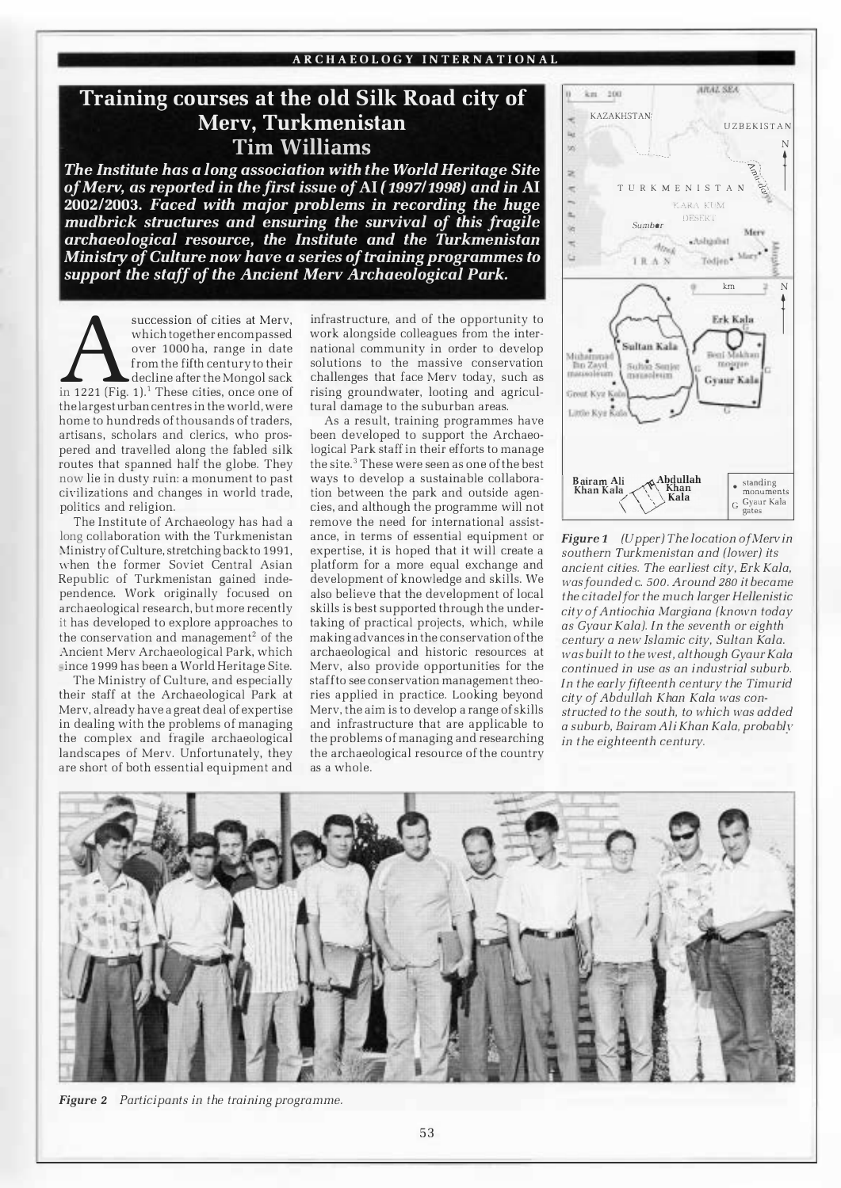# Training courses at the old Silk Road city of Merv, Turkmenistan Tim Williams

The Institute has a long association with the World Heritage Site ofMerv, as reported in the first issue of AI (1997/1998) and in AI 2002/2003. Faced with major problems in recording the huge mudbrick structures and ensuring the survival of this fragile archaeological resource, the Institute and the Turkmenistan Ministry of Culture now have a series of training programmes to support the staff of the Ancient Merv Archaeological Park.

succession of cities at Merv,<br>which together encompassed<br>over 1000 ha, range in date<br>from the fifth century to their<br>decline after the Mongol sack which together encompassed over 1000 ha, range in date from the fifth century to their decline after the Mongol sack in 1221 (Fig. 1). $<sup>1</sup>$  These cities, once one of</sup> the largest urban centres in the world, were home to hundreds of thousands of traders, artisans, scholars and clerics, who prospered and travelled along the fabled silk routes that spanned half the globe. They now lie in dusty ruin: a monument to past civilizations and changes in world trade, politics and religion.

The Institute of Archaeology has had a long collaboration with the Turkmenistan Ministry of Culture, stretching back to 1991, when the former Soviet Central Asian Republic of Turkmenistan gained independence. Work originally focused on archaeological research, but more recently it has developed to explore approaches to the conservation and management<sup>2</sup> of the Ancient Merv Archaeological Park, which ince 1 999 has been a World Heritage Site.

The Ministry of Culture, and especially their staff at the Archaeological Park at Merv, already have a great deal of expertise in dealing with the problems of managing the complex and fragile archaeological landscapes of Merv. Unfortunately, they are short of both essential equipment and

infrastructure, and of the opportunity to work alongside colleagues from the international community in order to develop solutions to the massive conservation challenges that face Merv today, such as rising groundwater, looting and agricultural damage to the suburban areas.

As a result, training programmes have been developed to support the Archaeological Park staff in their efforts to manage the site. 3 These were seen as one of the best ways to develop a sustainable collaboration between the park and outside agencies, and although the programme will not remove the need for international assistance, in terms of essential equipment or expertise, it is hoped that it will create a platform for a more equal exchange and development of knowledge and skills. We also believe that the development of local skills is best supported through the undertaking of practical projects, which, while making advances in the conservation of the archaeological and historic resources at Merv, also provide opportunities for the staff to see conservation management theories applied in practice. Looking beyond Merv, the aim is to develop a range of skills and infrastructure that are applicable to the problems of managing and researching the archaeological resource of the country as a whole.



Figure 1 (Upper) The location of Mervin southern Turkmenistan and (lower) its ancient cities. The earliest city, Erk Kala, was founded c. 500. Around 280 it became the citadel for the much larger Hellenistic city of Antiochia Margiana (known today as Gyaur Kala). In the seventh or eighth century a new Islamic city, Sultan Kala. was built to the west, although Gyaur Kala continued in use as an industrial suburb. In the early fifteenth century the Timurid city of Abdullah Khan Kala was constructed to the south, to which was added a suburb, Bairam Ali Khan Kala, probably in the eighteenth century.



Figure 2 Participants in the training programme.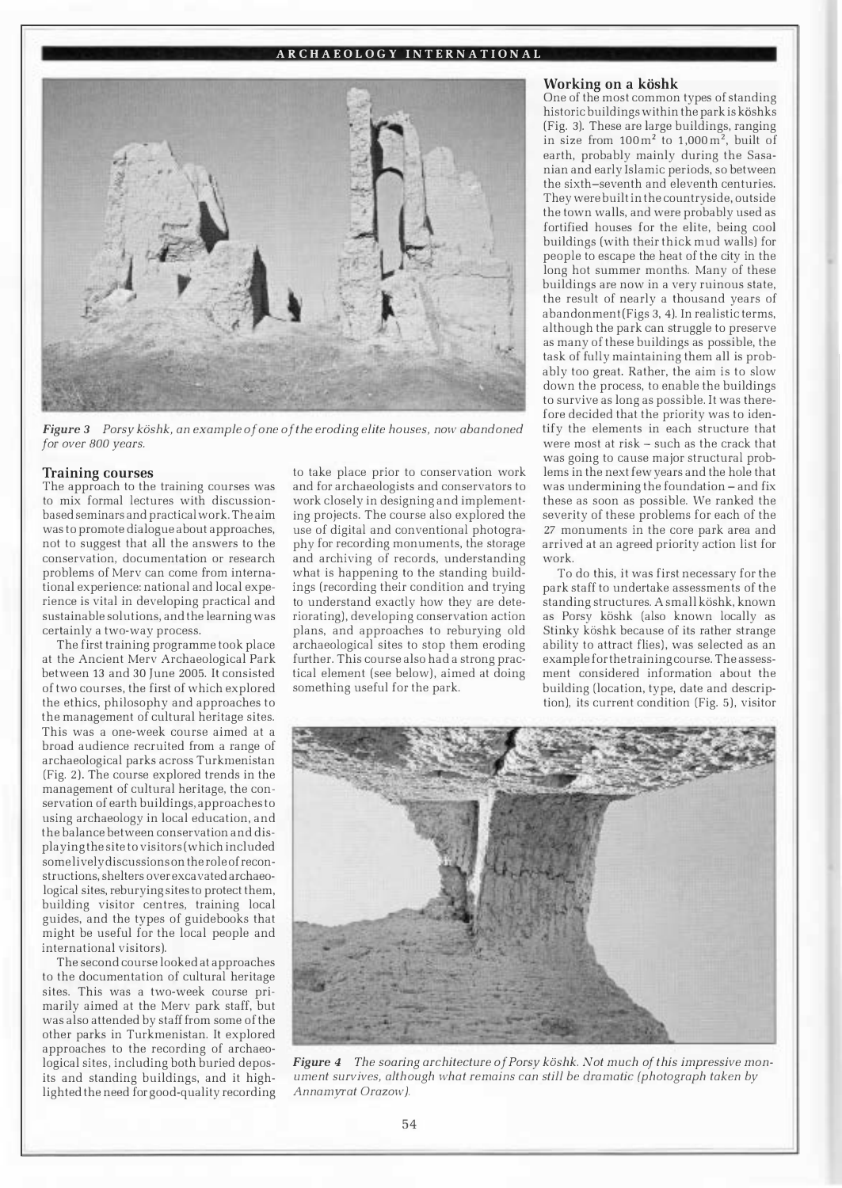

Figure 3 Porsy köshk, an example of one of the eroding elite houses, now abandoned for over 800 years.

### Training courses

The approach to the training courses was to mix formal lectures with discussionbased seminars and practical work. The aim was to promote dialogue about approaches, not to suggest that all the answers to the conservation, documentation or research problems of Merv can come from international experience: national and local experience is vital in developing practical and sustainable solutions, and the learning was certainly a two-way process.

The first training programme took place at the Ancient Merv Archaeological Park between 13 and 30 June 2005. It consisted of two courses, the first of which explored the ethics, philosophy and approaches to the management of cultural heritage sites. This was a one-week course aimed at a broad audience recruited from a range of archaeological parks across Turkrnenistan (Fig. 2). The course explored trends in the management of cultural heritage, the conservation of earth buildings, approaches to using archaeology in local education, and the balance between conservation and displaying the site to visitors (which included some lively discussions on the role of reconstructions, shelters over excavated archaeological sites, reburying sites to protect them, building visitor centres, training local guides, and the types of guidebooks that might be useful for the local people and international visitors).

The second course looked at approaches to the documentation of cultural heritage sites. This was a two-week course primarily aimed at the Merv park staff, but was also attended by staff from some of the other parks in Turkrnenistan. It explored approaches to the recording of archaeological sites, including both buried deposits and standing buildings, and it highlighted the need for good-quality recording to take place prior to conservation work and for archaeologists and conservators to work closely in designing and implementing projects. The course also explored the use of digital and conventional photography for recording monuments, the storage and archiving of records, understanding what is happening to the standing buildings (recording their condition and trying to understand exactly how they are deteriorating), developing conservation action plans, and approaches to reburying old archaeological sites to stop them eroding further. This course also had a strong practical element (see below), aimed at doing something useful for the park.

### Working on a köshk

One of the most common types of standing historic buildings within the park is köshks (Fig. 3). These are large buildings, ranging in size from  $100 \text{ m}^2$  to  $1,000 \text{ m}^2$ , built of earth, probably mainly during the Sasanian and early Islamic periods, so between the sixth-seventh and eleventh centuries. They were built in the countryside, outside the town walls, and were probably used as fortified houses for the elite, being cool buildings (with their thick mud walls) for people to escape the heat of the city in the long hot summer months. Many of these buildings are now in a very ruinous state, the result of nearly a thousand years of abandonment (Figs 3, 4). In realistic terms, although the park can struggle to preserve as many of these buildings as possible, the task of fully maintaining them all is probably too great. Rather, the aim is to slow down the process, to enable the buildings to survive as long as possible. It was therefore decided that the priority was to identify the elements in each structure that were most at risk - such as the crack that was going to cause major structural problems in the next few years and the hole that was undermining the foundation - and fix these as soon as possible. We ranked the severity of these problems for each of the 27 monuments in the core park area and arrived at an agreed priority action list for work.

To do this, it was first necessary for the park staff to undertake assessments of the <u>.</u><br>standing structures. A small köshk, known as Porsy köshk (also known locally as Stinky köshk because of its rather strange ability to attract flies), was selected as an example for the training course. The assessment considered information about the building (location, type, date and description), its current condition (Fig. 5), visitor



Figure 4 The soaring architecture of Porsy köshk. Not much of this impressive monument survives, although what remains can still be dramatic (photograph taken by Annamyrat Orazow).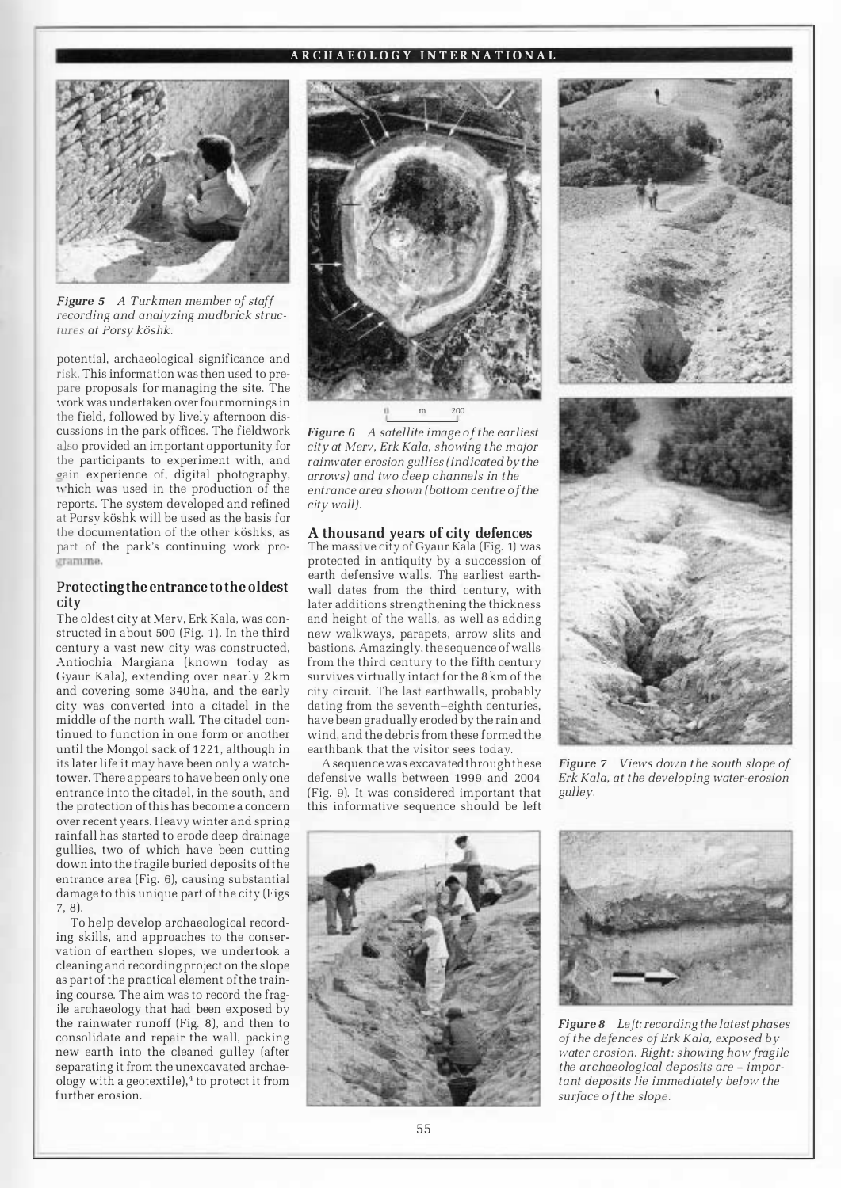

Figure 5 A Turkmen member of staff recording and analyzing mudbrick structures at Porsy köshk.

potential, archaeological significance and risk. This information was then used to prepare proposals for managing the site. The work was undertaken over four mornings in the field, followed by lively afternoon discussions in the park offices. The fieldwork also provided an important opportunity for the participants to experiment with, and oain experience of, digital photography, which was used in the production of the reports. The system developed and refined at Porsy köshk will be used as the basis for the documentation of the other köshks, as part of the park's continuing work pro-QTan1me.

## Protecting the entrance to the oldest city

The oldest city at Merv, Erk Kala, was constructed in about 500 (Fig. 1). In the third century a vast new city was constructed, Antiochia Margiana (known today as Gyaur Kala), extending over nearly 2 km and covering some 340ha, and the early city was converted into a citadel in the middle of the north wall. The citadel continued to function in one form or another until the Mongol sack of 1221, although in its later life it may have been only a watchtower. There appears to have been only one entrance into the citadel, in the south, and the protection of this has become a concern over recent years. Heavy winter and spring rainfall has started to erode deep drainage gullies, two of which have been cutting down into the fragile buried deposits of the entrance area (Fig. 6), causing substantial damage to this unique part of the city (Figs 7, 8).

To help develop archaeological recording skills, and approaches to the conservation of earthen slopes, we undertook a cleaning and recording project on the slope as part of the practical element ofthe training course. The aim was to record the fragile archaeology that had been exposed by the rainwater runoff (Fig. 8), and then to consolidate and repair the wall, packing new earth into the cleaned gulley (after separating it from the unexcavated archaeology with a geotextile), $4$  to protect it from further erosion.



Figure 6 A satellite image of the earliest city at Merv, Erk Kala, showing the major rainwater erosion gullies (indicated by the arrows) and two deep channels in the entrance area shown (bottom centre of the city wall).

# A thousand years of city defences

The massive city of Gyaur Kala (Fig. 1) was protected in antiquity by a succession of earth defensive walls. The earliest earthwall dates from the third century, with later additions strengthening the thickness and height of the walls, as well as adding new walkways, parapets, arrow slits and bastions. Amazingly, the sequence of walls from the third century to the fifth century survives virtually intact for the 8 km of the city circuit. The last earthwalls, probably dating from the seventh-eighth centuries, have been gradually eroded by the rain and wind, and the debris from these formed the earthbank that the visitor sees today.

A sequence was excavated through these defensive walls between 1999 and 2004 (Fig. 9). It was considered important that this informative sequence should be left



l

Figure 7 Views down the south slope of Erk Kala, at the developing water-erosion gulley.





Figure 8 Left: recording the latest phases of the defences of Erk Kala, exposed by water erosion. Right: showing how fragile the archaeological deposits are - important deposits lie immediately below the surface of the slope.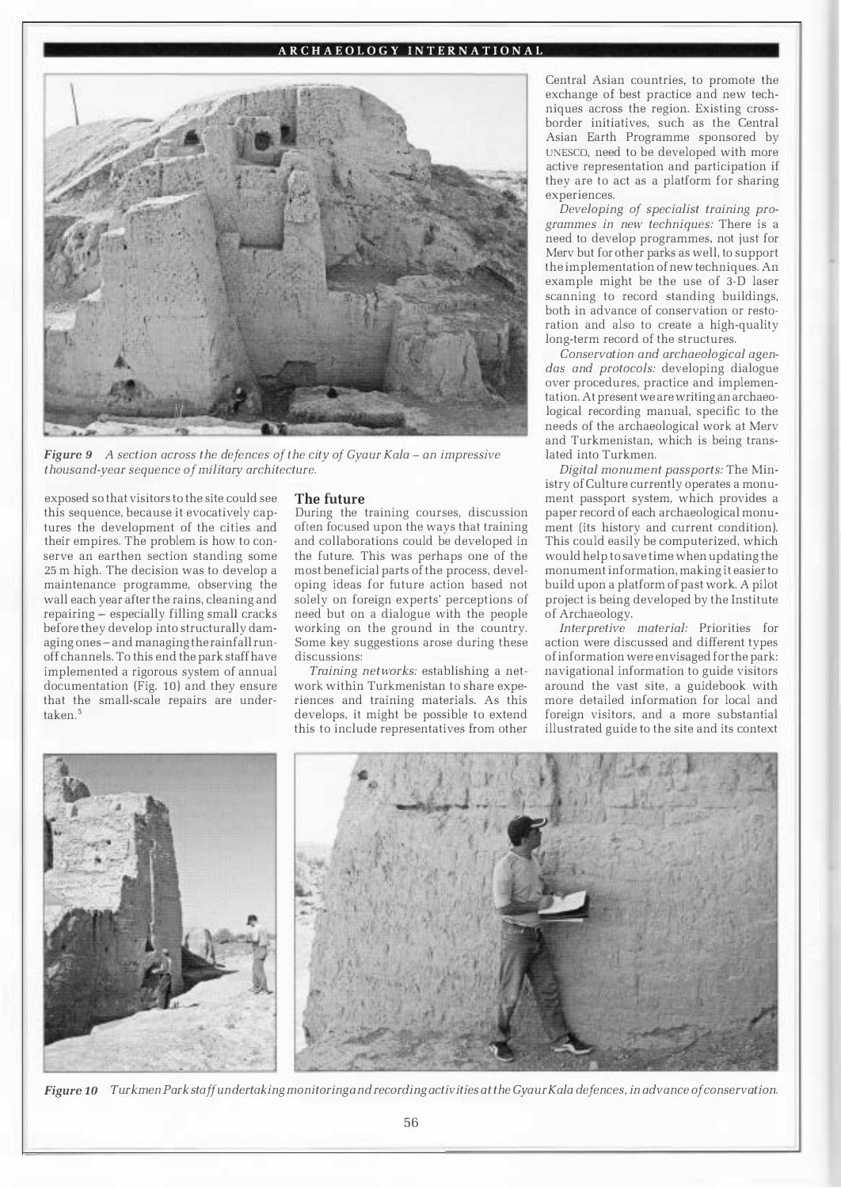

Figure 9 A section across the defences of the city of Gyaur Kala - an impressive thousand-year sequence of military architecture.

exposed so that visitors to the site could see this sequence, because it evocatively captures the development of the cities and their empires. The problem is how to conserve an earthen section standing some 25 m high. The decision was to develop a maintenance programme, observing the wall each year after the rains, cleaning and repairing - especially filling small cracks before they develop into structurally damaging ones-and managing the rainfall runoff channels. To this end the park staff have implemented a rigorous system of annual documentation (Fig. 10) and they ensure that the small-scale repairs are undertaken.<sup>5</sup>

### The future

During the training courses, discussion often focused upon the ways that training and collaborations could be developed in the future. This was perhaps one of the most beneficial parts of the process, developing ideas for future action based not solely on foreign experts' perceptions of need but on a dialogue with the people working on the ground in the country. Some key suggestions arose during these discussions:

Training networks: establishing a network within Turkmenistan to share experiences and training materials. As this develops, it might be possible to extend this to include representatives from other

Central Asian countries, to promote the exchange of best practice and new techniques across the region. Existing crossborder initiatives, such as the Central Asian Earth Programme sponsored by UNESCO, need to be developed with more active representation and participation if they are to act as a platform for sharing experiences.

Developing of specialist training programmes in new techniques: There is a need to develop programmes, not just for Merv but for other parks as well, to support the implementation of new techniques. An example might be the use of 3-D laser scanning to record standing buildings, both in advance of conservation or restoration and also to create a high-quality long-term record of the structures.

Conservation and archaeological agendas and protocols: developing dialogue over procedures, practice and implementation. At present we are writing an archaeological recording manual, specific to the needs of the archaeological work at Merv and Turkmenistan, which is being translated into Turkmen.

Digital monument passports: The Ministry of Culture currently operates a monument passport system, which provides a paper record of each archaeological monument (its history and current condition). This could easily be computerized, which would help to save time when updating the monument information, making it easier to build upon a platform of past work. A pilot project is being developed by the Institute of Archaeology.

Interpretive material: Priorities for action were discussed and different types ofinformation were envisaged for the park: navigational information to guide visitors around the vast site, a guidebook with more detailed information for local and foreign visitors, and a more substantial illustrated guide to the site and its context



Figure 10 Turkmen Park staff undertaking monitoring and recording activities at the Gyaur Kala defences, in advance of conservation.